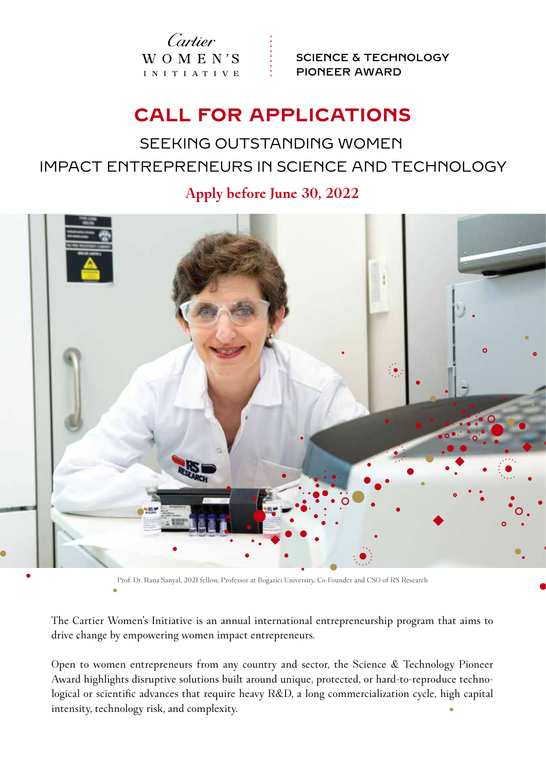Cartier  $W_O M E N'S$ I N I T I A T I V E

SCIENCE & TECHNOLOGY PIONEER AWARD

# **CALL FOR APPLICATIONS**

# SEEKING OUTSTANDING WOMEN IMPACT ENTREPRENEURS IN SCIENCE AND TECHNOLOGY

**Apply before June 30, 2022**



Prof. Dr. Rana Sanyal, 2021 fellow, Professor at Bogazici University, Co-Founder and CSO of RS Research

The Cartier Women's Initiative is an annual international entrepreneurship program that aims to drive change by empowering women impact entrepreneurs.

Open to women entrepreneurs from any country and sector, the Science & Technology Pioneer Award highlights disruptive solutions built around unique, protected, or hard-to-reproduce technological or scientific advances that require heavy R&D, a long commercialization cycle, high capital intensity, technology risk, and complexity.